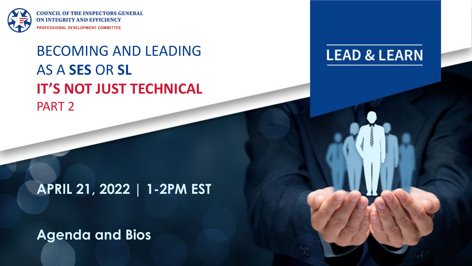

# BECOMING AND LEADING AS A **SES** OR **SL IT'S NOT JUST TECHNICAL**  PART 2

# **LEAD & LEARN**

## **APRIL 21, 2022 | 1-2PM EST**

## **Agenda and Bios**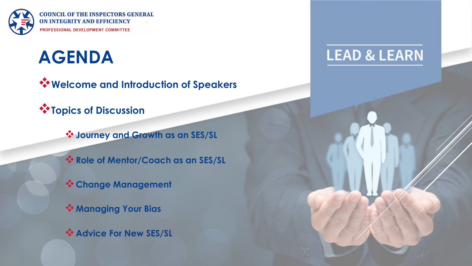

# **AGENDA**

**Welcome and Introduction of Speakers** 

## **Topics of Discussion**

 $\div$  Journey and Growth as an SES/SL

**A** Role of Mentor/Coach as an SES/SL

- **Change Management**
- **Managing Your Bias**
- **❖ Advice For New SES/SL**

# **LEAD & LEARN**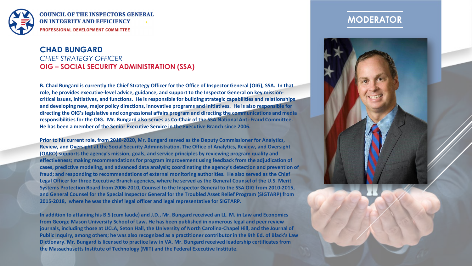

### **CHAD BUNGARD** *CHIEF STRATEGY OFFICER* **OIG – SOCIAL SECURITY ADMINISTRATION (SSA)**

**B. Chad Bungard is currently the Chief Strategy Officer for the Office of Inspector General (OIG), SSA. In that role, he provides executive-level advice, guidance, and support to the Inspector General on key missioncritical issues, initiatives, and functions. He is responsible for building strategic capabilities and relationships and developing new, major policy directions, innovative programs and initiatives. He is also responsible for directing the OIG's legislative and congressional affairs program and directing the communications and media responsibilities for the OIG. Mr. Bungard also serves as Co-Chair of the SSA National Anti-Fraud Committee. He has been a member of the Senior Executive Service in the Executive Branch since 2006.**

**Prior to his current role, from 2018-2020, Mr. Bungard served as the Deputy Commissioner for Analytics, Review, and Oversight at the Social Security Administration. The Office of Analytics, Review, and Oversight (OARO) supports the agency's mission, goals, and service principles by reviewing program quality and effectiveness; making recommendations for program improvement using feedback from the adjudication of cases, predictive modeling, and advanced data analysis; coordinating the agency's detection and prevention of fraud; and responding to recommendations of external monitoring authorities. He also served as the Chief Legal Officer for three Executive Branch agencies, where he served as the General Counsel of the U.S. Merit Systems Protection Board from 2006-2010, Counsel to the Inspector General to the SSA OIG from 2010-2015, and General Counsel for the Special Inspector General for the Troubled Asset Relief Program (SIGTARP) from 2015-2018, where he was the chief legal officer and legal representative for SIGTARP.** 

**In addition to attaining his B.S (cum laude) and J.D., Mr. Bungard received an LL. M. in Law and Economics from George Mason University School of Law. He has been published in numerous legal and peer review journals, including those at UCLA, Seton Hall, the University of North Carolina-Chapel Hill, and the Journal of Public Inquiry, among others; he was also recognized as a practitioner contributor in the 9th Ed. of Black's Law Dictionary. Mr. Bungard is licensed to practice law in VA. Mr. Bungard received leadership certificates from the Massachusetts Institute of Technology (MIT) and the Federal Executive Institute.** 

### **MODERATOR**

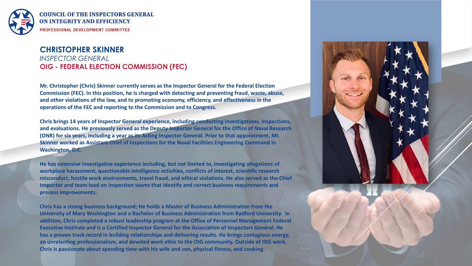

### **CHRISTOPHER SKINNER** *INSPECTOR GENERAL* **OIG - FEDERAL ELECTION COMMISSION (FEC)**

**Mr. Christopher (Chris) Skinner currently serves as the Inspector General for the Federal Election Commission (FEC). In this position, he is charged with detecting and preventing fraud, waste, abuse, and other violations of the law, and to promoting economy, efficiency, and effectiveness in the operations of the FEC and reporting to the Commission and to Congress.**

**Chris brings 14 years of Inspector General experience, including conducting investigations, inspections, and evaluations. He previously served as the Deputy Inspector General for the Office of Naval Research (ONR) for six years, including a year as its Acting Inspector General. Prior to that appointment, Mr. Skinner worked as Assistant Chief of Inspections for the Naval Facilities Engineering Command in Washington, D.C.**

**He has extensive investigative experience including, but not limited to, investigating allegations of workplace harassment, questionable intelligence activities, conflicts of interest, scientific research misconduct, hostile work environments, travel fraud, and ethical violations. He also served as the Chief Inspector and team lead on inspection teams that identify and correct business requirements and process improvements.**

**Chris has a strong business background; He holds a Master of Business Administration from the University of Mary Washington and a Bachelor of Business Administration from Radford University. In addition, Chris completed a robust leadership program at the Office of Personnel Management Federal Executive Institute and is a Certified Inspector General for the Association of Inspectors General. He has a proven track record in building relationships and delivering results. He brings contagious energy, an unrelenting professionalism, and devoted work ethic to the OIG community. Outside of OIG work, Chris is passionate about spending time with his wife and son, physical fitness, and cooking.**

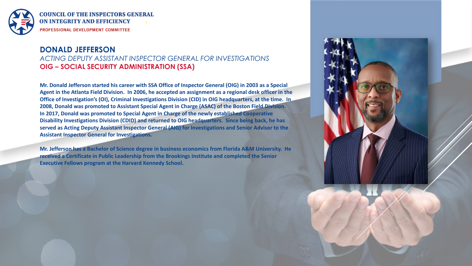

### **DONALD JEFFERSON** *ACTING DEPUTY ASSISTANT INSPECTOR GENERAL FOR INVESTIGATIONS* **OIG – SOCIAL SECURITY ADMINISTRATION (SSA)**

**Mr. Donald Jefferson started his career with SSA Office of Inspector General (OIG) in 2003 as a Special Agent in the Atlanta Field Division. In 2006, he accepted an assignment as a regional desk officer in the Office of Investigation's (OI), Criminal Investigations Division (CID) in OIG headquarters, at the time. In 2008, Donald was promoted to Assistant Special Agent in Charge (ASAC) of the Boston Field Division. In 2017, Donald was promoted to Special Agent in Charge of the newly established Cooperative Disability Investigations Division (CDID) and returned to OIG headquarters. Since being back, he has served as Acting Deputy Assistant Inspector General (AIG) for Investigations and Senior Advisor to the Assistant Inspector General for Investigations.**

**Mr. Jefferson has a Bachelor of Science degree in business economics from Florida A&M University. He received a Certificate in Public Leadership from the Brookings Institute and completed the Senior Executive Fellows program at the Harvard Kennedy School.** 

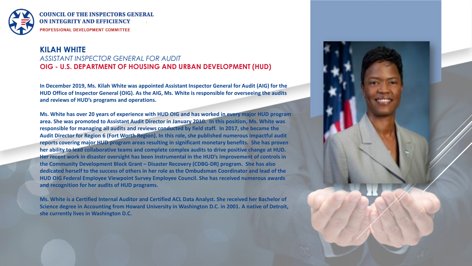

### **KILAH WHITE** *ASSISTANT INSPECTOR GENERAL FOR AUDIT* **OIG - U.S. DEPARTMENT OF HOUSING AND URBAN DEVELOPMENT (HUD)**

**In December 2019, Ms. Kilah White was appointed Assistant Inspector General for Audit (AIG) for the HUD Office of Inspector General (OIG). As the AIG, Ms. White is responsible for overseeing the audits and reviews of HUD's programs and operations.**

**Ms. White has over 20 years of experience with HUD OIG and has worked in every major HUD program area. She was promoted to Assistant Audit Director in January 2010. In this position, Ms. White was responsible for managing all audits and reviews conducted by field staff. In 2017, she became the Audit Director for Region 6 (Fort Worth Region). In this role, she published numerous impactful audit reports covering major HUD program areas resulting in significant monetary benefits. She has proven her ability to lead collaborative teams and complete complex audits to drive positive change at HUD. Her recent work in disaster oversight has been instrumental in the HUD's improvement of controls in the Community Development Block Grant – Disaster Recovery (CDBG-DR) program. She has also dedicated herself to the success of others in her role as the Ombudsman Coordinator and lead of the HUD OIG Federal Employee Viewpoint Survey Employee Council. She has received numerous awards and recognition for her audits of HUD programs.**

**Ms. White is a Certified Internal Auditor and Certified ACL Data Analyst. She received her Bachelor of Science degree in Accounting from Howard University in Washington D.C. in 2001. A native of Detroit, she currently lives in Washington D.C.**

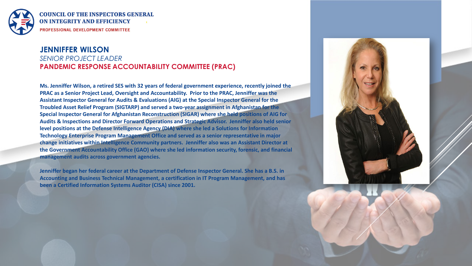

### **JENNIFFER WILSON** *SENIOR PROJECT LEADER* **PANDEMIC RESPONSE ACCOUNTABILITY COMMITTEE (PRAC)**

**Ms. Jenniffer Wilson, a retired SES with 32 years of federal government experience, recently joined the PRAC as a Senior Project Lead, Oversight and Accountability. Prior to the PRAC, Jenniffer was the Assistant Inspector General for Audits & Evaluations (AIG) at the Special Inspector General for the Troubled Asset Relief Program (SIGTARP) and served a two-year assignment in Afghanistan for the Special Inspector General for Afghanistan Reconstruction (SIGAR) where she held positions of AIG for Audits & Inspections and Director Forward Operations and Strategic Advisor. Jenniffer also held senior level positions at the Defense Intelligence Agency (DIA) where she led a Solutions for Information Technology Enterprise Program Management Office and served as a senior representative in major change initiatives within Intelligence Community partners. Jenniffer also was an Assistant Director at the Government Accountability Office (GAO) where she led information security, forensic, and financial management audits across government agencies.** 

**Jenniffer began her federal career at the Department of Defense Inspector General. She has a B.S. in Accounting and Business Technical Management, a certification in IT Program Management, and has been a Certified Information Systems Auditor (CISA) since 2001.**